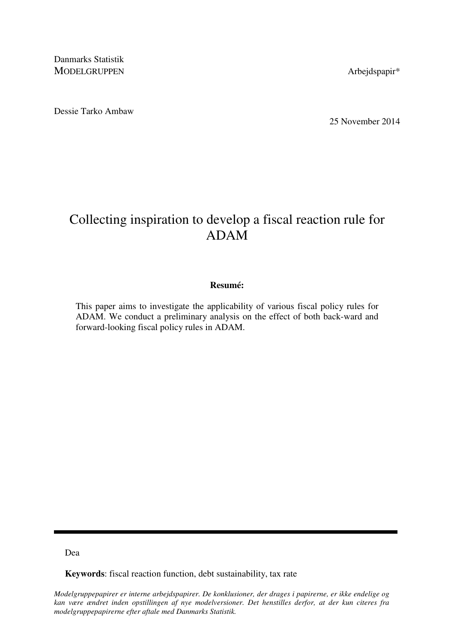Danmarks Statistik MODELGRUPPEN Arbejdspapir\*

Dessie Tarko Ambaw

25 November 2014

# Collecting inspiration to develop a fiscal reaction rule for ADAM

## **Resumé:**

This paper aims to investigate the applicability of various fiscal policy rules for ADAM. We conduct a preliminary analysis on the effect of both back-ward and forward-looking fiscal policy rules in ADAM.

Dea

**Keywords**: fiscal reaction function, debt sustainability, tax rate

*Modelgruppepapirer er interne arbejdspapirer. De konklusioner, der drages i papirerne, er ikke endelige og kan være ændret inden opstillingen af nye modelversioner. Det henstilles derfor, at der kun citeres fra modelgruppepapirerne efter aftale med Danmarks Statistik.*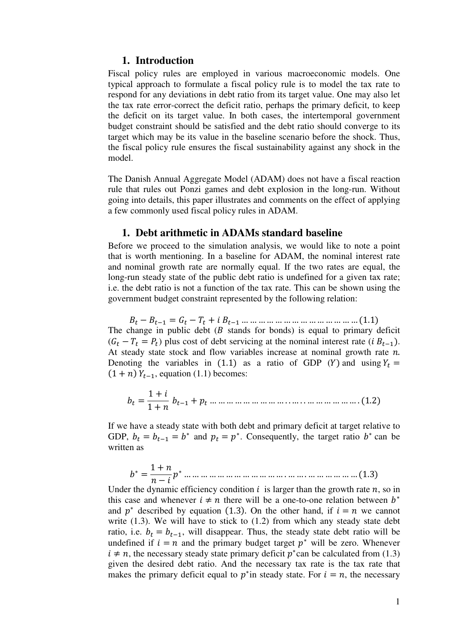## **1. Introduction**

Fiscal policy rules are employed in various macroeconomic models. One typical approach to formulate a fiscal policy rule is to model the tax rate to respond for any deviations in debt ratio from its target value. One may also let the tax rate error-correct the deficit ratio, perhaps the primary deficit, to keep the deficit on its target value. In both cases, the intertemporal government budget constraint should be satisfied and the debt ratio should converge to its target which may be its value in the baseline scenario before the shock. Thus, the fiscal policy rule ensures the fiscal sustainability against any shock in the model.

The Danish Annual Aggregate Model (ADAM) does not have a fiscal reaction rule that rules out Ponzi games and debt explosion in the long-run. Without going into details, this paper illustrates and comments on the effect of applying a few commonly used fiscal policy rules in ADAM.

### **1. Debt arithmetic in ADAMs standard baseline**

Before we proceed to the simulation analysis, we would like to note a point that is worth mentioning. In a baseline for ADAM, the nominal interest rate and nominal growth rate are normally equal. If the two rates are equal, the long-run steady state of the public debt ratio is undefined for a given tax rate; i.e. the debt ratio is not a function of the tax rate. This can be shown using the government budget constraint represented by the following relation:

 $B_t - B_{t-1} = G_t - T_t + i B_{t-1} \dots \dots \dots \dots \dots \dots \dots \dots \dots \dots \dots \dots (1.1)$ The change in public debt  $(B$  stands for bonds) is equal to primary deficit  $(G_t - T_t = P_t)$  plus cost of debt servicing at the nominal interest rate  $(i B_{t-1})$ . At steady state stock and flow variables increase at nominal growth rate  $n$ . Denoting the variables in (1.1) as a ratio of GDP (Y) and using  $Y_t =$  $(1 + n) Y_{t-1}$ , equation (1.1) becomes:

- = 1 + 1 + - + -… … … … … … … … … . . … . . … … … … … … . (1.2)

If we have a steady state with both debt and primary deficit at target relative to GDP,  $b_t = b_{t-1} = b^*$  and  $p_t = p^*$ . Consequently, the target ratio  $b^*$  can be written as

 <sup>∗</sup> = 1 + − <sup>∗</sup> … … … … … … … … … … … … . … … . … … … … … … (1.3)

Under the dynamic efficiency condition  $i$  is larger than the growth rate  $n$ , so in this case and whenever  $i \neq n$  there will be a one-to-one relation between  $b^*$ and  $p^*$  described by equation (1.3). On the other hand, if  $i = n$  we cannot write (1.3). We will have to stick to (1.2) from which any steady state debt ratio, i.e.  $b_t = b_{t-1}$ , will disappear. Thus, the steady state debt ratio will be undefined if  $i = n$  and the primary budget target  $p^*$  will be zero. Whenever  $i \neq n$ , the necessary steady state primary deficit  $p^*$  can be calculated from (1.3) given the desired debt ratio. And the necessary tax rate is the tax rate that makes the primary deficit equal to  $p^*$  in steady state. For  $i = n$ , the necessary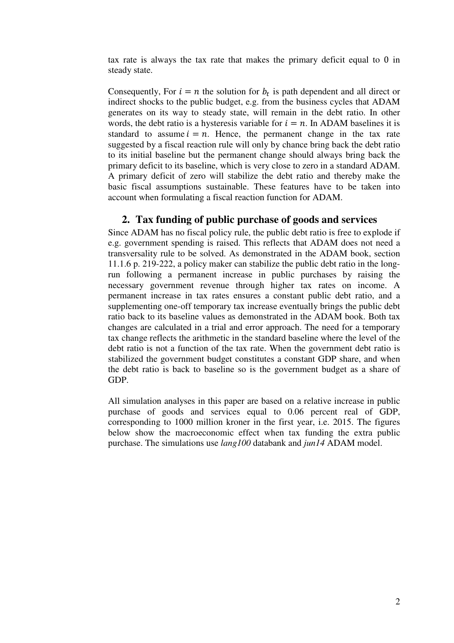tax rate is always the tax rate that makes the primary deficit equal to 0 in steady state.

Consequently, For  $i = n$  the solution for  $b_t$  is path dependent and all direct or indirect shocks to the public budget, e.g. from the business cycles that ADAM generates on its way to steady state, will remain in the debt ratio. In other words, the debt ratio is a hysteresis variable for  $i = n$ . In ADAM baselines it is standard to assume  $i = n$ . Hence, the permanent change in the tax rate suggested by a fiscal reaction rule will only by chance bring back the debt ratio to its initial baseline but the permanent change should always bring back the primary deficit to its baseline, which is very close to zero in a standard ADAM. A primary deficit of zero will stabilize the debt ratio and thereby make the basic fiscal assumptions sustainable. These features have to be taken into account when formulating a fiscal reaction function for ADAM.

# **2. Tax funding of public purchase of goods and services**

Since ADAM has no fiscal policy rule, the public debt ratio is free to explode if e.g. government spending is raised. This reflects that ADAM does not need a transversality rule to be solved. As demonstrated in the ADAM book, section 11.1.6 p. 219-222, a policy maker can stabilize the public debt ratio in the longrun following a permanent increase in public purchases by raising the necessary government revenue through higher tax rates on income. A permanent increase in tax rates ensures a constant public debt ratio, and a supplementing one-off temporary tax increase eventually brings the public debt ratio back to its baseline values as demonstrated in the ADAM book. Both tax changes are calculated in a trial and error approach. The need for a temporary tax change reflects the arithmetic in the standard baseline where the level of the debt ratio is not a function of the tax rate. When the government debt ratio is stabilized the government budget constitutes a constant GDP share, and when the debt ratio is back to baseline so is the government budget as a share of GDP.

All simulation analyses in this paper are based on a relative increase in public purchase of goods and services equal to 0.06 percent real of GDP, corresponding to 1000 million kroner in the first year, i.e. 2015. The figures below show the macroeconomic effect when tax funding the extra public purchase. The simulations use *lang100* databank and *jun14* ADAM model.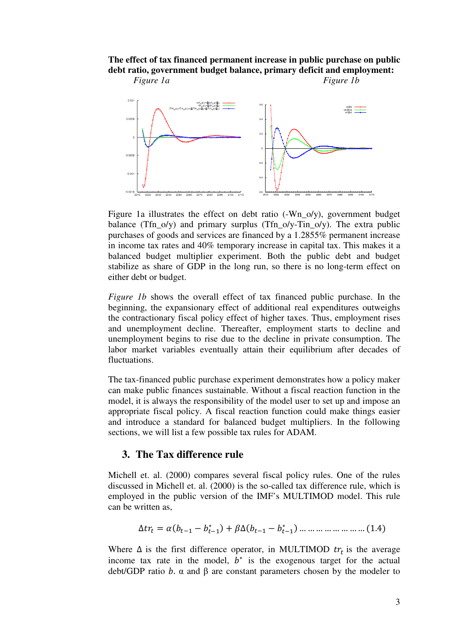## **The effect of tax financed permanent increase in public purchase on public debt ratio, government budget balance, primary deficit and employment:**  *Figure 1a* Figure 1b



Figure 1a illustrates the effect on debt ratio (-Wn o/y), government budget balance (Tfn\_o/y) and primary surplus (Tfn\_o/y-Tin\_o/y). The extra public purchases of goods and services are financed by a 1.2855% permanent increase in income tax rates and 40% temporary increase in capital tax. This makes it a balanced budget multiplier experiment. Both the public debt and budget stabilize as share of GDP in the long run, so there is no long-term effect on either debt or budget.

*Figure 1b* shows the overall effect of tax financed public purchase. In the beginning, the expansionary effect of additional real expenditures outweighs the contractionary fiscal policy effect of higher taxes. Thus, employment rises and unemployment decline. Thereafter, employment starts to decline and unemployment begins to rise due to the decline in private consumption. The labor market variables eventually attain their equilibrium after decades of fluctuations.

The tax-financed public purchase experiment demonstrates how a policy maker can make public finances sustainable. Without a fiscal reaction function in the model, it is always the responsibility of the model user to set up and impose an appropriate fiscal policy. A fiscal reaction function could make things easier and introduce a standard for balanced budget multipliers. In the following sections, we will list a few possible tax rules for ADAM.

## **3. The Tax difference rule**

Michell et. al. (2000) compares several fiscal policy rules. One of the rules discussed in Michell et. al. (2000) is the so-called tax difference rule, which is employed in the public version of the IMF's MULTIMOD model. This rule can be written as,

$$
\Delta tr_t = \alpha (b_{t-1} - b_{t-1}^*) + \beta \Delta (b_{t-1} - b_{t-1}^*) \dots \dots \dots \dots \dots \dots \dots (1.4)
$$

Where  $\Delta$  is the first difference operator, in MULTIMOD  $tr_t$  is the average income tax rate in the model,  $b^*$  is the exogenous target for the actual debt/GDP ratio b. α and β are constant parameters chosen by the modeler to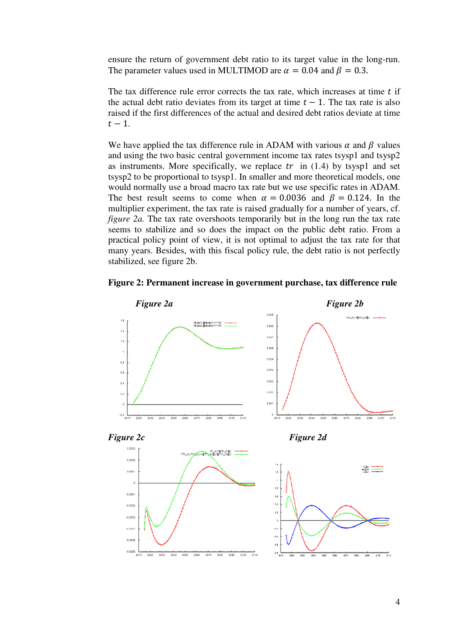ensure the return of government debt ratio to its target value in the long-run. The parameter values used in MULTIMOD are  $\alpha = 0.04$  and  $\beta = 0.3$ .

The tax difference rule error corrects the tax rate, which increases at time  $t$  if the actual debt ratio deviates from its target at time  $t - 1$ . The tax rate is also raised if the first differences of the actual and desired debt ratios deviate at time  $t-1$ .

We have applied the tax difference rule in ADAM with various  $\alpha$  and  $\beta$  values and using the two basic central government income tax rates tsysp1 and tsysp2 as instruments. More specifically, we replace  $tr$  in (1.4) by tsysp1 and set tsysp2 to be proportional to tsysp1. In smaller and more theoretical models, one would normally use a broad macro tax rate but we use specific rates in ADAM. The best result seems to come when  $\alpha = 0.0036$  and  $\beta = 0.124$ . In the multiplier experiment, the tax rate is raised gradually for a number of years, cf. *figure 2a.* The tax rate overshoots temporarily but in the long run the tax rate seems to stabilize and so does the impact on the public debt ratio. From a practical policy point of view, it is not optimal to adjust the tax rate for that many years. Besides, with this fiscal policy rule, the debt ratio is not perfectly stabilized, see figure 2b.



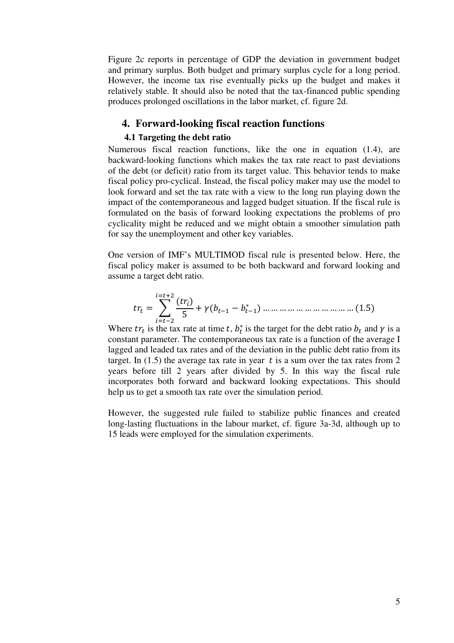Figure 2c reports in percentage of GDP the deviation in government budget and primary surplus. Both budget and primary surplus cycle for a long period. However, the income tax rise eventually picks up the budget and makes it relatively stable. It should also be noted that the tax-financed public spending produces prolonged oscillations in the labor market, cf. figure 2d.

## **4. Forward-looking fiscal reaction functions**

#### **4.1** T**argeting the debt ratio**

Numerous fiscal reaction functions, like the one in equation (1.4), are backward-looking functions which makes the tax rate react to past deviations of the debt (or deficit) ratio from its target value. This behavior tends to make fiscal policy pro-cyclical. Instead, the fiscal policy maker may use the model to look forward and set the tax rate with a view to the long run playing down the impact of the contemporaneous and lagged budget situation. If the fiscal rule is formulated on the basis of forward looking expectations the problems of pro cyclicality might be reduced and we might obtain a smoother simulation path for say the unemployment and other key variables.

One version of IMF's MULTIMOD fiscal rule is presented below. Here, the fiscal policy maker is assumed to be both backward and forward looking and assume a target debt ratio.

$$
tr_{t} = \sum_{i=t-2}^{i=t+2} \frac{(tr_{i})}{5} + \gamma (b_{t-1} - b_{t-1}^{*}) \dots \dots \dots \dots \dots \dots \dots \dots \dots \dots \dots (1.5)
$$

Where  $tr_t$  is the tax rate at time t,  $b_t^*$  is the target for the debt ratio  $b_t$  and  $\gamma$  is a constant parameter. The contemporaneous tax rate is a function of the average I lagged and leaded tax rates and of the deviation in the public debt ratio from its target. In  $(1.5)$  the average tax rate in year t is a sum over the tax rates from 2 years before till 2 years after divided by 5. In this way the fiscal rule incorporates both forward and backward looking expectations. This should help us to get a smooth tax rate over the simulation period.

However, the suggested rule failed to stabilize public finances and created long-lasting fluctuations in the labour market, cf. figure 3a-3d, although up to 15 leads were employed for the simulation experiments.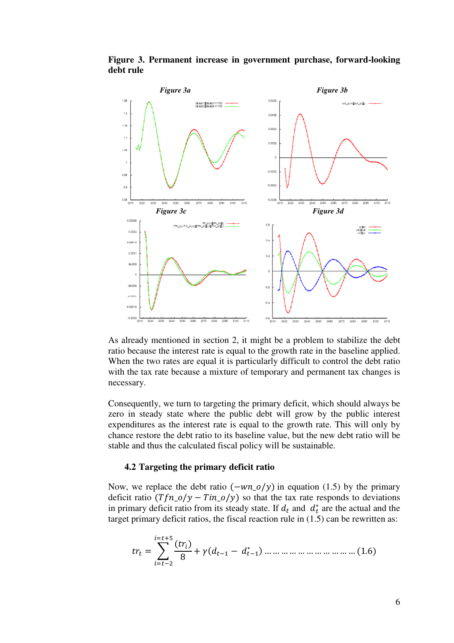



As already mentioned in section 2, it might be a problem to stabilize the debt ratio because the interest rate is equal to the growth rate in the baseline applied. When the two rates are equal it is particularly difficult to control the debt ratio with the tax rate because a mixture of temporary and permanent tax changes is necessary.

Consequently, we turn to targeting the primary deficit, which should always be zero in steady state where the public debt will grow by the public interest expenditures as the interest rate is equal to the growth rate. This will only by chance restore the debt ratio to its baseline value, but the new debt ratio will be stable and thus the calculated fiscal policy will be sustainable.

#### **4.2 Targeting the primary deficit ratio**

Now, we replace the debt ratio  $(-wn_0/y)$  in equation (1.5) by the primary deficit ratio  $(Tfn_0/y - Tin_0/y)$  so that the tax rate responds to deviations in primary deficit ratio from its steady state. If  $d_t$  and  $d_t^*$  are the actual and the target primary deficit ratios, the fiscal reaction rule in (1.5) can be rewritten as:

$$
tr_{t} = \sum_{i=t-2}^{i=t+5} \frac{(tr_{i})}{8} + \gamma (d_{t-1} - d_{t-1}^{*}) \dots \dots \dots \dots \dots \dots \dots \dots \dots \dots (1.6)
$$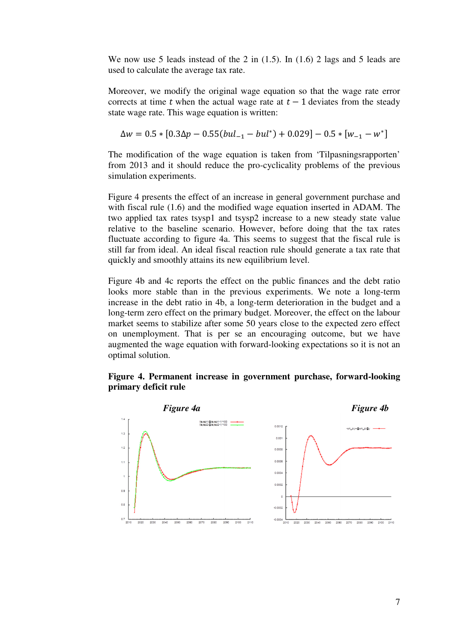We now use 5 leads instead of the 2 in (1.5). In (1.6) 2 lags and 5 leads are used to calculate the average tax rate.

Moreover, we modify the original wage equation so that the wage rate error corrects at time t when the actual wage rate at  $t - 1$  deviates from the steady state wage rate. This wage equation is written:

$$
\Delta w = 0.5 * [0.3\Delta p - 0.55(bul_{-1} - bul^*) + 0.029] - 0.5 * [w_{-1} - w^*]
$$

The modification of the wage equation is taken from 'Tilpasningsrapporten' from 2013 and it should reduce the pro-cyclicality problems of the previous simulation experiments.

Figure 4 presents the effect of an increase in general government purchase and with fiscal rule (1.6) and the modified wage equation inserted in ADAM. The two applied tax rates tsysp1 and tsysp2 increase to a new steady state value relative to the baseline scenario. However, before doing that the tax rates fluctuate according to figure 4a. This seems to suggest that the fiscal rule is still far from ideal. An ideal fiscal reaction rule should generate a tax rate that quickly and smoothly attains its new equilibrium level.

Figure 4b and 4c reports the effect on the public finances and the debt ratio looks more stable than in the previous experiments. We note a long-term increase in the debt ratio in 4b, a long-term deterioration in the budget and a long-term zero effect on the primary budget. Moreover, the effect on the labour market seems to stabilize after some 50 years close to the expected zero effect on unemployment. That is per se an encouraging outcome, but we have augmented the wage equation with forward-looking expectations so it is not an optimal solution.



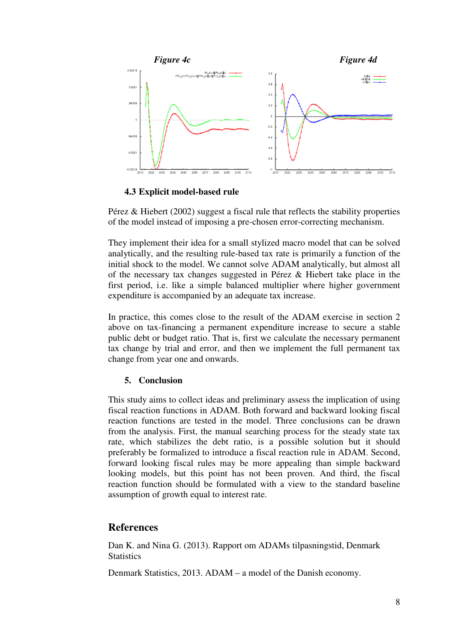

**4.3 Explicit model-based rule** 

Pérez & Hiebert (2002) suggest a fiscal rule that reflects the stability properties of the model instead of imposing a pre-chosen error-correcting mechanism.

They implement their idea for a small stylized macro model that can be solved analytically, and the resulting rule-based tax rate is primarily a function of the initial shock to the model. We cannot solve ADAM analytically, but almost all of the necessary tax changes suggested in Pérez & Hiebert take place in the first period, i.e. like a simple balanced multiplier where higher government expenditure is accompanied by an adequate tax increase.

In practice, this comes close to the result of the ADAM exercise in section 2 above on tax-financing a permanent expenditure increase to secure a stable public debt or budget ratio. That is, first we calculate the necessary permanent tax change by trial and error, and then we implement the full permanent tax change from year one and onwards.

## **5. Conclusion**

This study aims to collect ideas and preliminary assess the implication of using fiscal reaction functions in ADAM. Both forward and backward looking fiscal reaction functions are tested in the model. Three conclusions can be drawn from the analysis. First, the manual searching process for the steady state tax rate, which stabilizes the debt ratio, is a possible solution but it should preferably be formalized to introduce a fiscal reaction rule in ADAM. Second, forward looking fiscal rules may be more appealing than simple backward looking models, but this point has not been proven. And third, the fiscal reaction function should be formulated with a view to the standard baseline assumption of growth equal to interest rate.

## **References**

Dan K. and Nina G. (2013). Rapport om ADAMs tilpasningstid, Denmark **Statistics** 

Denmark Statistics, 2013. ADAM – a model of the Danish economy.